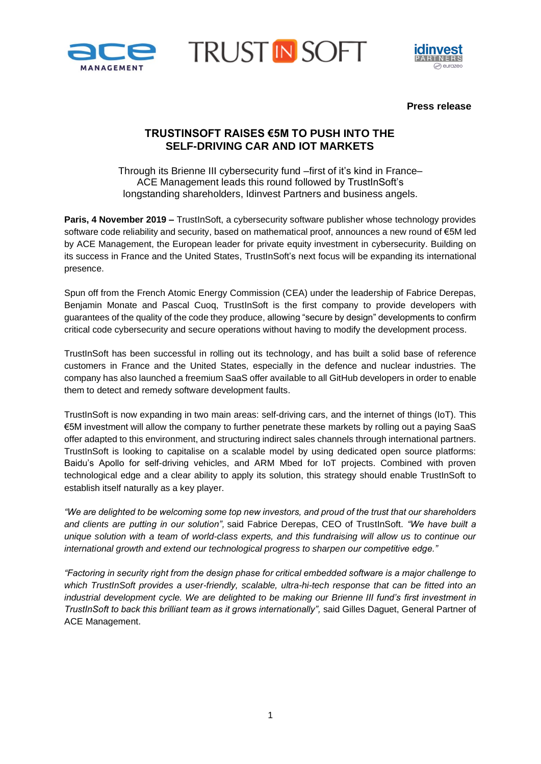





## **Press release**

# **TRUSTINSOFT RAISES €5M TO PUSH INTO THE SELF-DRIVING CAR AND IOT MARKETS**

Through its Brienne III cybersecurity fund –first of it's kind in France– ACE Management leads this round followed by TrustInSoft's longstanding shareholders, Idinvest Partners and business angels.

**Paris, 4 November 2019 –** TrustInSoft, a cybersecurity software publisher whose technology provides software code reliability and security, based on mathematical proof, announces a new round of €5M led by ACE Management, the European leader for private equity investment in cybersecurity. Building on its success in France and the United States, TrustInSoft's next focus will be expanding its international presence.

Spun off from the French Atomic Energy Commission (CEA) under the leadership of Fabrice Derepas, Benjamin Monate and Pascal Cuoq, TrustInSoft is the first company to provide developers with guarantees of the quality of the code they produce, allowing "secure by design" developments to confirm critical code cybersecurity and secure operations without having to modify the development process.

TrustInSoft has been successful in rolling out its technology, and has built a solid base of reference customers in France and the United States, especially in the defence and nuclear industries. The company has also launched a freemium SaaS offer available to all GitHub developers in order to enable them to detect and remedy software development faults.

TrustInSoft is now expanding in two main areas: self-driving cars, and the internet of things (IoT). This €5M investment will allow the company to further penetrate these markets by rolling out a paying SaaS offer adapted to this environment, and structuring indirect sales channels through international partners. TrustInSoft is looking to capitalise on a scalable model by using dedicated open source platforms: Baidu's Apollo for self-driving vehicles, and ARM Mbed for IoT projects. Combined with proven technological edge and a clear ability to apply its solution, this strategy should enable TrustInSoft to establish itself naturally as a key player.

*"We are delighted to be welcoming some top new investors, and proud of the trust that our shareholders and clients are putting in our solution",* said Fabrice Derepas, CEO of TrustInSoft. *"We have built a unique solution with a team of world-class experts, and this fundraising will allow us to continue our international growth and extend our technological progress to sharpen our competitive edge."*

*"Factoring in security right from the design phase for critical embedded software is a major challenge to which TrustInSoft provides a user-friendly, scalable, ultra-hi-tech response that can be fitted into an industrial development cycle. We are delighted to be making our Brienne III fund's first investment in TrustInSoft to back this brilliant team as it grows internationally",* said Gilles Daguet, General Partner of ACE Management.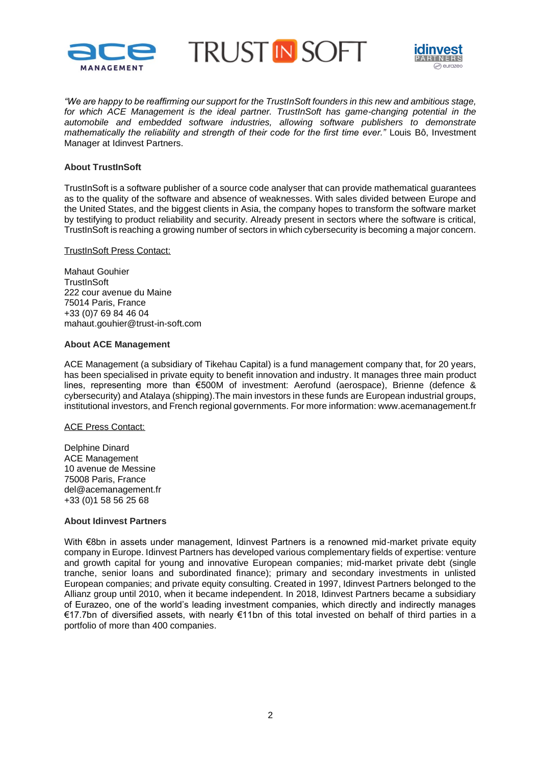

**TRUST IN SOFT** 



*"We are happy to be reaffirming our support for the TrustInSoft founders in this new and ambitious stage, for which ACE Management is the ideal partner. TrustInSoft has game-changing potential in the automobile and embedded software industries, allowing software publishers to demonstrate mathematically the reliability and strength of their code for the first time ever."* Louis Bô, Investment Manager at Idinvest Partners.

## **About TrustInSoft**

TrustInSoft is a software publisher of a source code analyser that can provide mathematical guarantees as to the quality of the software and absence of weaknesses. With sales divided between Europe and the United States, and the biggest clients in Asia, the company hopes to transform the software market by testifying to product reliability and security. Already present in sectors where the software is critical, TrustInSoft is reaching a growing number of sectors in which cybersecurity is becoming a major concern.

#### TrustInSoft Press Contact:

Mahaut Gouhier **TrustInSoft** 222 cour avenue du Maine 75014 Paris, France +33 (0)7 69 84 46 04 mahaut.gouhier@trust-in-soft.com

#### **About ACE Management**

ACE Management (a subsidiary of Tikehau Capital) is a fund management company that, for 20 years, has been specialised in private equity to benefit innovation and industry. It manages three main product lines, representing more than €500M of investment: Aerofund (aerospace), Brienne (defence & cybersecurity) and Atalaya (shipping).The main investors in these funds are European industrial groups, institutional investors, and French regional governments. For more information: www.acemanagement.fr

#### ACE Press Contact:

Delphine Dinard ACE Management 10 avenue de Messine 75008 Paris, France del@acemanagement.fr +33 (0)1 58 56 25 68

## **About Idinvest Partners**

With €8bn in assets under management, Idinvest Partners is a renowned mid-market private equity company in Europe. Idinvest Partners has developed various complementary fields of expertise: venture and growth capital for young and innovative European companies; mid-market private debt (single tranche, senior loans and subordinated finance); primary and secondary investments in unlisted European companies; and private equity consulting. Created in 1997, Idinvest Partners belonged to the Allianz group until 2010, when it became independent. In 2018, Idinvest Partners became a subsidiary of Eurazeo, one of the world's leading investment companies, which directly and indirectly manages €17.7bn of diversified assets, with nearly €11bn of this total invested on behalf of third parties in a portfolio of more than 400 companies.